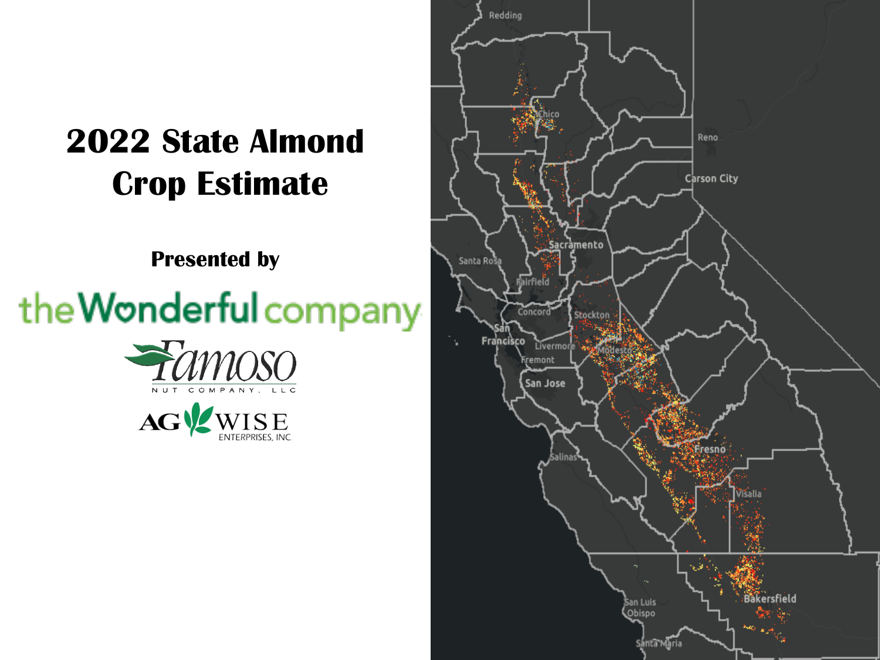### **2022 State Almond Crop Estimate**

**Presented by**

# the Wonderful company





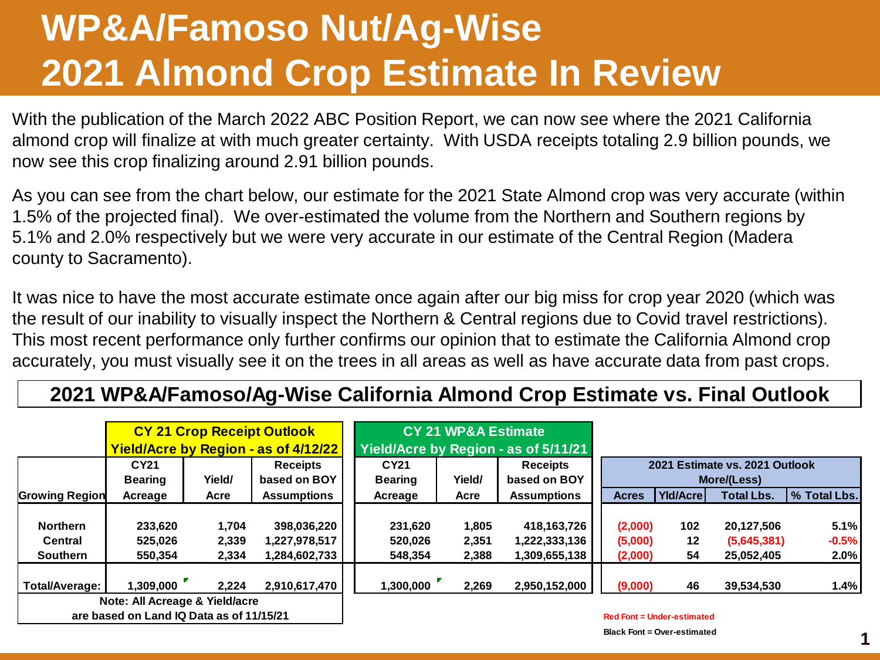## **WP&A/Famoso Nut/Ag-Wise 2021 Almond Crop Estimate In Review**

With the publication of the March 2022 ABC Position Report, we can now see where the 2021 California almond crop will finalize at with much greater certainty. With USDA receipts totaling 2.9 billion pounds, we now see this crop finalizing around 2.91 billion pounds.

As you can see from the chart below, our estimate for the 2021 State Almond crop was very accurate (within 1.5% of the projected final). We over-estimated the volume from the Northern and Southern regions by 5.1% and 2.0% respectively but we were very accurate in our estimate of the Central Region (Madera county to Sacramento).

It was nice to have the most accurate estimate once again after our big miss for crop year 2020 (which was the result of our inability to visually inspect the Northern & Central regions due to Covid travel restrictions). This most recent performance only further confirms our opinion that to estimate the California Almond crop accurately, you must visually see it on the trees in all areas as well as have accurate data from past crops.

#### **2021 WP&A/Famoso/Ag-Wise California Almond Crop Estimate vs. Final Outlook**

|                                   |                                          |                | <b>CY 21 Crop Receipt Outlook</b><br>Yield/Acre by Region - as of 4/12/22 |                    | <b>CY 21 WP&amp;A Estimate</b> | Yield/Acre by Region - as of 5/11/21 |                                               |                                   |                           |                 |  |  |  |  |
|-----------------------------------|------------------------------------------|----------------|---------------------------------------------------------------------------|--------------------|--------------------------------|--------------------------------------|-----------------------------------------------|-----------------------------------|---------------------------|-----------------|--|--|--|--|
|                                   | CY21                                     |                | <b>Receipts</b>                                                           | CY21               |                                | Receipts                             | 2021 Estimate vs. 2021 Outlook<br>More/(Less) |                                   |                           |                 |  |  |  |  |
|                                   | <b>Bearing</b>                           | Yield/         | based on BOY                                                              | <b>Bearing</b>     | Yield/                         | based on BOY                         |                                               |                                   |                           |                 |  |  |  |  |
| <b>Growing Region</b>             | Acreage                                  | Acre           | <b>Assumptions</b>                                                        | Acreage            | Acre                           | <b>Assumptions</b>                   | <b>Acres</b>                                  | YId/Acrel                         | <b>Total Lbs.</b>         | % Total Lbs.    |  |  |  |  |
| <b>Northern</b><br><b>Central</b> | 233,620<br>525,026                       | 1,704<br>2,339 | 398,036,220<br>1,227,978,517                                              | 231,620<br>520,026 | 1,805<br>2,351                 | 418, 163, 726<br>1,222,333,136       | (2,000)<br>(5,000)                            | 102<br>12                         | 20,127,506<br>(5,645,381) | 5.1%<br>$-0.5%$ |  |  |  |  |
| <b>Southern</b>                   | 550,354                                  | 2,334          | ا 284,602,733.                                                            | 548,354            | 2,388                          | 1,309.655,138                        | (2,000)                                       | 54                                | 25,052,405                | 2.0%            |  |  |  |  |
| Total/Average:                    | 1,309,000                                | 2.224          | 2,910,617,470                                                             | 1,300,000          | 2,269                          | 2,950,152,000                        | (9,000)                                       | 46                                | 39,534,530                | 1.4%            |  |  |  |  |
|                                   | Note: All Acreage & Yield/acre           |                |                                                                           |                    |                                |                                      |                                               |                                   |                           |                 |  |  |  |  |
|                                   | are based on Land IQ Data as of 11/15/21 |                |                                                                           |                    |                                |                                      |                                               | <b>Red Font = Under-estimated</b> |                           |                 |  |  |  |  |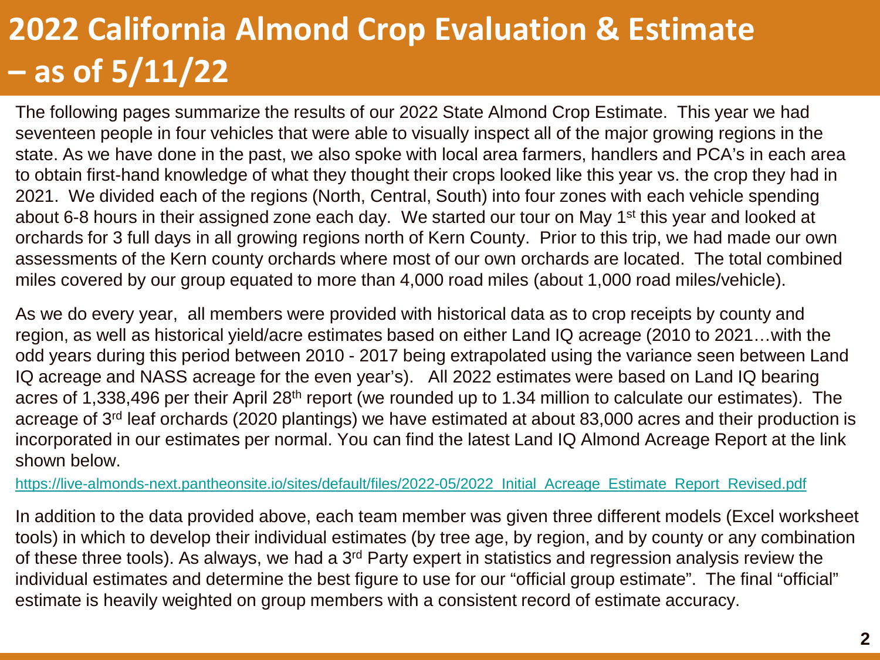The following pages summarize the results of our 2022 State Almond Crop Estimate. This year we had seventeen people in four vehicles that were able to visually inspect all of the major growing regions in the state. As we have done in the past, we also spoke with local area farmers, handlers and PCA's in each area to obtain first-hand knowledge of what they thought their crops looked like this year vs. the crop they had in 2021. We divided each of the regions (North, Central, South) into four zones with each vehicle spending about 6-8 hours in their assigned zone each day. We started our tour on May 1<sup>st</sup> this year and looked at orchards for 3 full days in all growing regions north of Kern County. Prior to this trip, we had made our own assessments of the Kern county orchards where most of our own orchards are located. The total combined miles covered by our group equated to more than 4,000 road miles (about 1,000 road miles/vehicle).

As we do every year, all members were provided with historical data as to crop receipts by county and region, as well as historical yield/acre estimates based on either Land IQ acreage (2010 to 2021…with the odd years during this period between 2010 - 2017 being extrapolated using the variance seen between Land IQ acreage and NASS acreage for the even year's). All 2022 estimates were based on Land IQ bearing acres of 1,338,496 per their April 28th report (we rounded up to 1.34 million to calculate our estimates). The acreage of 3rd leaf orchards (2020 plantings) we have estimated at about 83,000 acres and their production is incorporated in our estimates per normal. You can find the latest Land IQ Almond Acreage Report at the link shown below.

https://live-almonds-next.pantheonsite.io/sites/default/files/2022-05/2022 Initial Acreage Estimate Report Revised.pdf

In addition to the data provided above, each team member was given three different models (Excel worksheet tools) in which to develop their individual estimates (by tree age, by region, and by county or any combination of these three tools). As always, we had a 3rd Party expert in statistics and regression analysis review the individual estimates and determine the best figure to use for our "official group estimate". The final "official" estimate is heavily weighted on group members with a consistent record of estimate accuracy.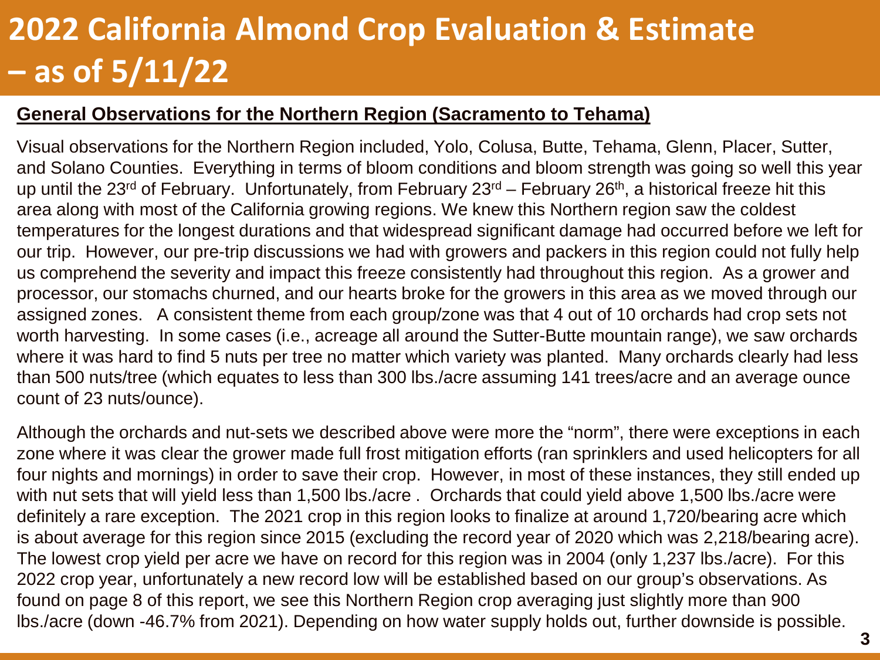#### **General Observations for the Northern Region (Sacramento to Tehama)**

Visual observations for the Northern Region included, Yolo, Colusa, Butte, Tehama, Glenn, Placer, Sutter, and Solano Counties. Everything in terms of bloom conditions and bloom strength was going so well this year up until the 23<sup>rd</sup> of February. Unfortunately, from February 23<sup>rd</sup> – February 26<sup>th</sup>, a historical freeze hit this area along with most of the California growing regions. We knew this Northern region saw the coldest temperatures for the longest durations and that widespread significant damage had occurred before we left for our trip. However, our pre-trip discussions we had with growers and packers in this region could not fully help us comprehend the severity and impact this freeze consistently had throughout this region. As a grower and processor, our stomachs churned, and our hearts broke for the growers in this area as we moved through our assigned zones. A consistent theme from each group/zone was that 4 out of 10 orchards had crop sets not worth harvesting. In some cases (i.e., acreage all around the Sutter-Butte mountain range), we saw orchards where it was hard to find 5 nuts per tree no matter which variety was planted. Many orchards clearly had less than 500 nuts/tree (which equates to less than 300 lbs./acre assuming 141 trees/acre and an average ounce count of 23 nuts/ounce).

Although the orchards and nut-sets we described above were more the "norm", there were exceptions in each zone where it was clear the grower made full frost mitigation efforts (ran sprinklers and used helicopters for all four nights and mornings) in order to save their crop. However, in most of these instances, they still ended up with nut sets that will yield less than 1,500 lbs./acre . Orchards that could yield above 1,500 lbs./acre were definitely a rare exception. The 2021 crop in this region looks to finalize at around 1,720/bearing acre which is about average for this region since 2015 (excluding the record year of 2020 which was 2,218/bearing acre). The lowest crop yield per acre we have on record for this region was in 2004 (only 1,237 lbs./acre). For this 2022 crop year, unfortunately a new record low will be established based on our group's observations. As found on page 8 of this report, we see this Northern Region crop averaging just slightly more than 900 lbs./acre (down -46.7% from 2021). Depending on how water supply holds out, further downside is possible.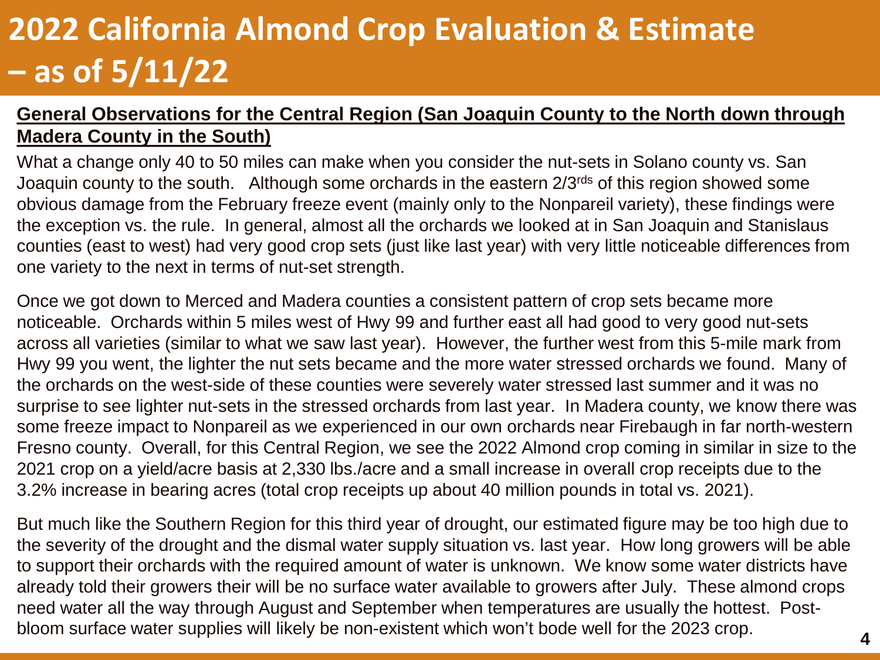#### **General Observations for the Central Region (San Joaquin County to the North down through Madera County in the South)**

What a change only 40 to 50 miles can make when you consider the nut-sets in Solano county vs. San Joaquin county to the south. Although some orchards in the eastern 2/3<sup>rds</sup> of this region showed some obvious damage from the February freeze event (mainly only to the Nonpareil variety), these findings were the exception vs. the rule. In general, almost all the orchards we looked at in San Joaquin and Stanislaus counties (east to west) had very good crop sets (just like last year) with very little noticeable differences from one variety to the next in terms of nut-set strength.

Once we got down to Merced and Madera counties a consistent pattern of crop sets became more noticeable. Orchards within 5 miles west of Hwy 99 and further east all had good to very good nut-sets across all varieties (similar to what we saw last year). However, the further west from this 5-mile mark from Hwy 99 you went, the lighter the nut sets became and the more water stressed orchards we found. Many of the orchards on the west-side of these counties were severely water stressed last summer and it was no surprise to see lighter nut-sets in the stressed orchards from last year. In Madera county, we know there was some freeze impact to Nonpareil as we experienced in our own orchards near Firebaugh in far north-western Fresno county. Overall, for this Central Region, we see the 2022 Almond crop coming in similar in size to the 2021 crop on a yield/acre basis at 2,330 lbs./acre and a small increase in overall crop receipts due to the 3.2% increase in bearing acres (total crop receipts up about 40 million pounds in total vs. 2021).

But much like the Southern Region for this third year of drought, our estimated figure may be too high due to the severity of the drought and the dismal water supply situation vs. last year. How long growers will be able to support their orchards with the required amount of water is unknown. We know some water districts have already told their growers their will be no surface water available to growers after July. These almond crops need water all the way through August and September when temperatures are usually the hottest. Postbloom surface water supplies will likely be non-existent which won't bode well for the 2023 crop.

**4**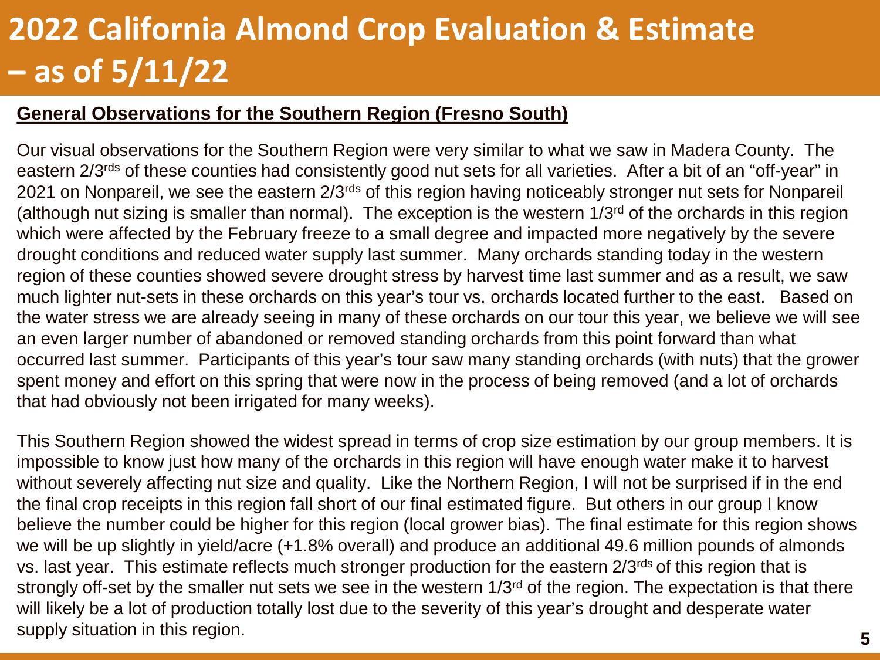#### **General Observations for the Southern Region (Fresno South)**

Our visual observations for the Southern Region were very similar to what we saw in Madera County. The eastern 2/3<sup>rds</sup> of these counties had consistently good nut sets for all varieties. After a bit of an "off-year" in 2021 on Nonpareil, we see the eastern 2/3<sup>rds</sup> of this region having noticeably stronger nut sets for Nonpareil (although nut sizing is smaller than normal). The exception is the western  $1/3<sup>rd</sup>$  of the orchards in this region which were affected by the February freeze to a small degree and impacted more negatively by the severe drought conditions and reduced water supply last summer. Many orchards standing today in the western region of these counties showed severe drought stress by harvest time last summer and as a result, we saw much lighter nut-sets in these orchards on this year's tour vs. orchards located further to the east. Based on the water stress we are already seeing in many of these orchards on our tour this year, we believe we will see an even larger number of abandoned or removed standing orchards from this point forward than what occurred last summer. Participants of this year's tour saw many standing orchards (with nuts) that the grower spent money and effort on this spring that were now in the process of being removed (and a lot of orchards that had obviously not been irrigated for many weeks).

This Southern Region showed the widest spread in terms of crop size estimation by our group members. It is impossible to know just how many of the orchards in this region will have enough water make it to harvest without severely affecting nut size and quality. Like the Northern Region, I will not be surprised if in the end the final crop receipts in this region fall short of our final estimated figure. But others in our group I know believe the number could be higher for this region (local grower bias). The final estimate for this region shows we will be up slightly in yield/acre (+1.8% overall) and produce an additional 49.6 million pounds of almonds vs. last year. This estimate reflects much stronger production for the eastern 2/3<sup>rds</sup> of this region that is strongly off-set by the smaller nut sets we see in the western 1/3<sup>rd</sup> of the region. The expectation is that there will likely be a lot of production totally lost due to the severity of this year's drought and desperate water supply situation in this region.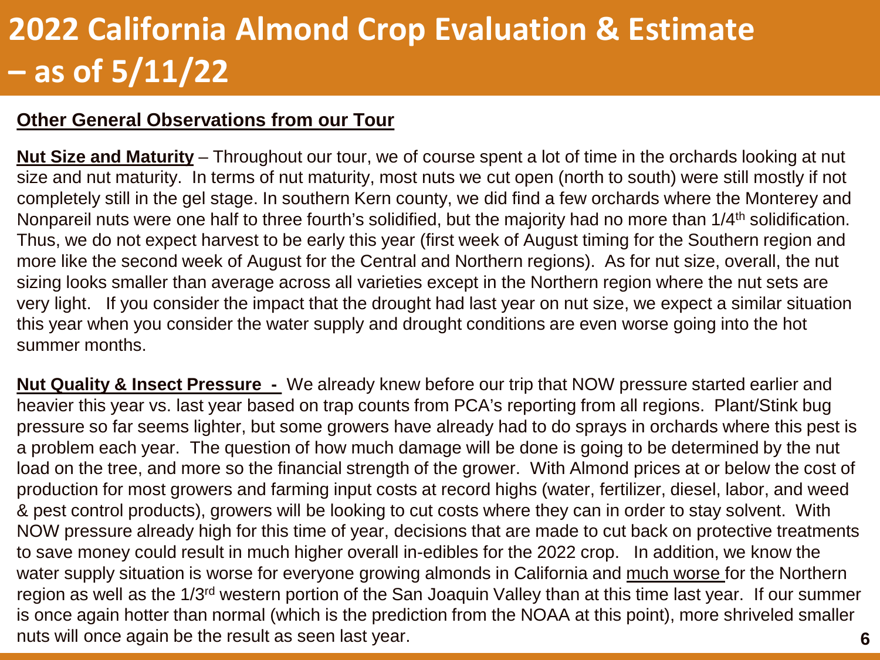#### **Other General Observations from our Tour**

**Nut Size and Maturity** – Throughout our tour, we of course spent a lot of time in the orchards looking at nut size and nut maturity. In terms of nut maturity, most nuts we cut open (north to south) were still mostly if not completely still in the gel stage. In southern Kern county, we did find a few orchards where the Monterey and Nonpareil nuts were one half to three fourth's solidified, but the majority had no more than 1/4<sup>th</sup> solidification. Thus, we do not expect harvest to be early this year (first week of August timing for the Southern region and more like the second week of August for the Central and Northern regions). As for nut size, overall, the nut sizing looks smaller than average across all varieties except in the Northern region where the nut sets are very light. If you consider the impact that the drought had last year on nut size, we expect a similar situation this year when you consider the water supply and drought conditions are even worse going into the hot summer months.

**Nut Quality & Insect Pressure -** We already knew before our trip that NOW pressure started earlier and heavier this year vs. last year based on trap counts from PCA's reporting from all regions. Plant/Stink bug pressure so far seems lighter, but some growers have already had to do sprays in orchards where this pest is a problem each year. The question of how much damage will be done is going to be determined by the nut load on the tree, and more so the financial strength of the grower. With Almond prices at or below the cost of production for most growers and farming input costs at record highs (water, fertilizer, diesel, labor, and weed & pest control products), growers will be looking to cut costs where they can in order to stay solvent. With NOW pressure already high for this time of year, decisions that are made to cut back on protective treatments to save money could result in much higher overall in-edibles for the 2022 crop. In addition, we know the water supply situation is worse for everyone growing almonds in California and much worse for the Northern region as well as the 1/3rd western portion of the San Joaquin Valley than at this time last year. If our summer is once again hotter than normal (which is the prediction from the NOAA at this point), more shriveled smaller nuts will once again be the result as seen last year.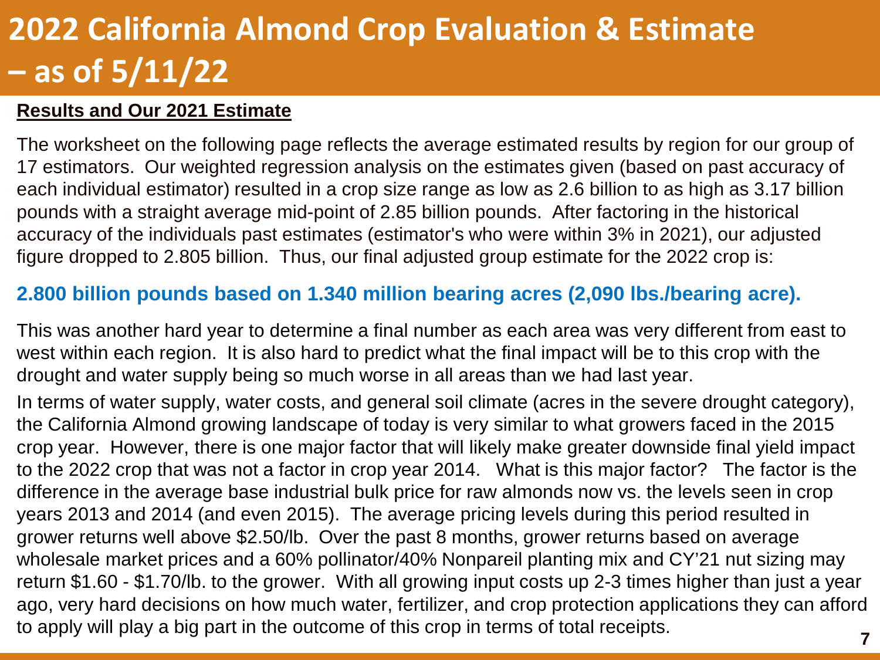#### **Results and Our 2021 Estimate**

The worksheet on the following page reflects the average estimated results by region for our group of 17 estimators. Our weighted regression analysis on the estimates given (based on past accuracy of each individual estimator) resulted in a crop size range as low as 2.6 billion to as high as 3.17 billion pounds with a straight average mid-point of 2.85 billion pounds. After factoring in the historical accuracy of the individuals past estimates (estimator's who were within 3% in 2021), our adjusted figure dropped to 2.805 billion. Thus, our final adjusted group estimate for the 2022 crop is:

#### **2.800 billion pounds based on 1.340 million bearing acres (2,090 lbs./bearing acre).**

This was another hard year to determine a final number as each area was very different from east to west within each region. It is also hard to predict what the final impact will be to this crop with the drought and water supply being so much worse in all areas than we had last year.

In terms of water supply, water costs, and general soil climate (acres in the severe drought category), the California Almond growing landscape of today is very similar to what growers faced in the 2015 crop year. However, there is one major factor that will likely make greater downside final yield impact to the 2022 crop that was not a factor in crop year 2014. What is this major factor? The factor is the difference in the average base industrial bulk price for raw almonds now vs. the levels seen in crop years 2013 and 2014 (and even 2015). The average pricing levels during this period resulted in grower returns well above \$2.50/lb. Over the past 8 months, grower returns based on average wholesale market prices and a 60% pollinator/40% Nonpareil planting mix and CY'21 nut sizing may return \$1.60 - \$1.70/lb. to the grower. With all growing input costs up 2-3 times higher than just a year ago, very hard decisions on how much water, fertilizer, and crop protection applications they can afford to apply will play a big part in the outcome of this crop in terms of total receipts.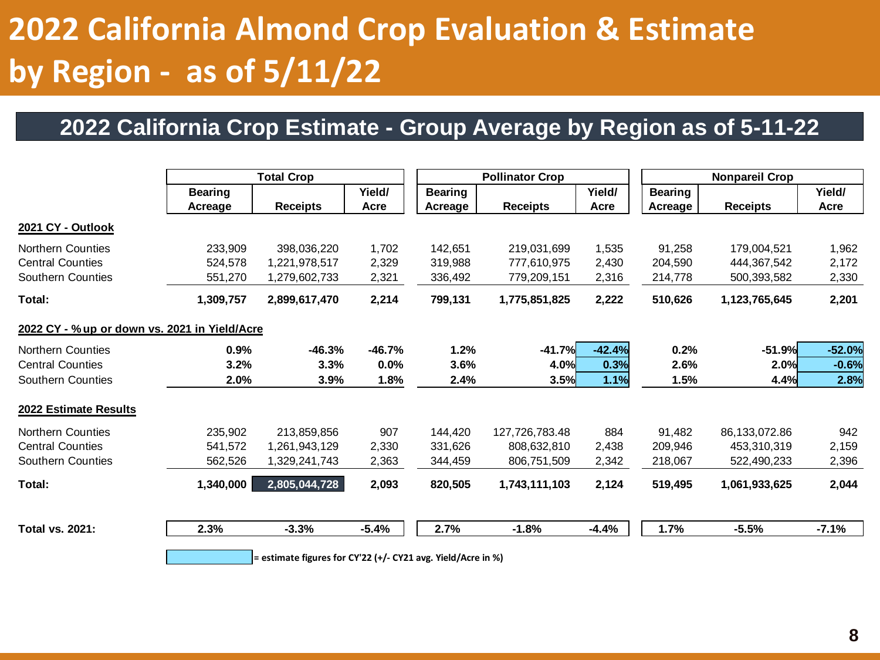### **2022 California Crop Estimate - Group Average by Region as of 5-11-22**

| Yield/<br><b>Receipts</b><br>Acre<br>1,702<br>398,036,220<br>2,329<br>1,221,978,517<br>2,321<br>1,279,602,733<br>2,214<br>2,899,617,470 | <b>Bearing</b><br>Acreage<br>142,651<br>319,988<br>336,492<br>799,131 | <b>Receipts</b><br>219,031,699<br>777,610,975<br>779,209,151<br>1,775,851,825 | Yield/<br>Acre<br>1,535<br>2,430<br>2,316<br>2,222 | <b>Bearing</b><br>Acreage<br>91,258<br>204,590<br>214,778<br>510,626 | <b>Nonpareil Crop</b><br><b>Receipts</b><br>179,004,521<br>444,367,542<br>500,393,582 | Yield/<br>Acre<br>1,962<br>2,172<br>2,330 |  |
|-----------------------------------------------------------------------------------------------------------------------------------------|-----------------------------------------------------------------------|-------------------------------------------------------------------------------|----------------------------------------------------|----------------------------------------------------------------------|---------------------------------------------------------------------------------------|-------------------------------------------|--|
|                                                                                                                                         |                                                                       |                                                                               |                                                    |                                                                      |                                                                                       |                                           |  |
|                                                                                                                                         |                                                                       |                                                                               |                                                    |                                                                      |                                                                                       |                                           |  |
|                                                                                                                                         |                                                                       |                                                                               |                                                    |                                                                      |                                                                                       |                                           |  |
|                                                                                                                                         |                                                                       |                                                                               |                                                    |                                                                      |                                                                                       |                                           |  |
|                                                                                                                                         |                                                                       |                                                                               |                                                    |                                                                      |                                                                                       |                                           |  |
|                                                                                                                                         |                                                                       |                                                                               |                                                    |                                                                      |                                                                                       |                                           |  |
|                                                                                                                                         |                                                                       |                                                                               |                                                    |                                                                      | 1,123,765,645                                                                         | 2,201                                     |  |
|                                                                                                                                         |                                                                       |                                                                               |                                                    |                                                                      |                                                                                       |                                           |  |
| $-46.7%$<br>$-46.3%$                                                                                                                    | 1.2%                                                                  | $-41.7%$                                                                      | $-42.4%$                                           | 0.2%                                                                 | $-51.9%$                                                                              | $-52.0%$                                  |  |
| 3.3%<br>0.0%                                                                                                                            | 3.6%                                                                  | 4.0%                                                                          | 0.3%                                               | 2.6%                                                                 | 2.0%                                                                                  | $-0.6%$                                   |  |
| 3.9%                                                                                                                                    | 2.4%                                                                  |                                                                               | 1.1%                                               | 1.5%                                                                 | 4.4%                                                                                  | 2.8%                                      |  |
|                                                                                                                                         |                                                                       |                                                                               |                                                    |                                                                      |                                                                                       |                                           |  |
| 213,859,856                                                                                                                             | 144,420                                                               | 127,726,783.48                                                                | 884                                                | 91,482                                                               | 86,133,072.86                                                                         | 942                                       |  |
| 1,261,943,129                                                                                                                           | 331,626                                                               | 808,632,810                                                                   | 2,438                                              | 209,946                                                              | 453,310,319                                                                           | 2,159                                     |  |
| 1,329,241,743                                                                                                                           | 344,459                                                               | 806,751,509                                                                   | 2,342                                              | 218,067                                                              | 522,490,233                                                                           | 2,396                                     |  |
| 2,805,044,728                                                                                                                           | 820,505                                                               | 1,743,111,103                                                                 | 2,124                                              | 519,495                                                              | 1,061,933,625                                                                         | 2,044                                     |  |
| $-5.4%$                                                                                                                                 | 2.7%                                                                  | $-1.8%$                                                                       | $-4.4%$                                            | 1.7%                                                                 | $-5.5%$                                                                               | $-7.1%$                                   |  |
|                                                                                                                                         |                                                                       | 1.8%<br>907<br>2,330<br>2,363<br>2,093                                        |                                                    | 3.5%                                                                 |                                                                                       |                                           |  |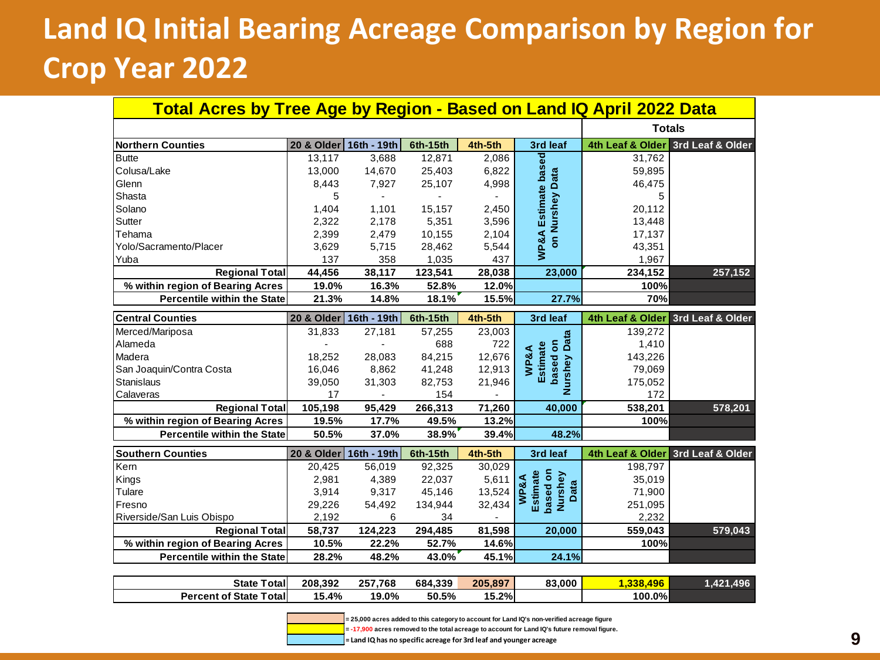### **Land IQ Initial Bearing Acreage Comparison by Region for Crop Year 2022**

| <b>Total Acres by Tree Age by Region - Based on Land IQ April 2022 Data</b> |                        |         |          |         |                                                     |                  |                                   |  |  |  |  |  |  |
|-----------------------------------------------------------------------------|------------------------|---------|----------|---------|-----------------------------------------------------|------------------|-----------------------------------|--|--|--|--|--|--|
|                                                                             |                        |         |          |         |                                                     |                  | <b>Totals</b>                     |  |  |  |  |  |  |
| <b>Northern Counties</b>                                                    | 20 & Older 16th - 19th |         | 6th-15th | 4th-5th | 3rd leaf                                            |                  | 4th Leaf & Older 3rd Leaf & Older |  |  |  |  |  |  |
| <b>Butte</b>                                                                | 13.117                 | 3,688   | 12,871   | 2,086   |                                                     | 31,762           |                                   |  |  |  |  |  |  |
| Colusa/Lake                                                                 | 13,000                 | 14,670  | 25,403   | 6,822   |                                                     | 59,895           |                                   |  |  |  |  |  |  |
| Glenn                                                                       | 8,443                  | 7,927   | 25,107   | 4,998   |                                                     | 46,475           |                                   |  |  |  |  |  |  |
| Shasta                                                                      | 5                      |         |          |         |                                                     | 5                |                                   |  |  |  |  |  |  |
| Solano                                                                      | 1,404                  | 1,101   | 15,157   | 2,450   | <b>WP&amp;A Estimate based</b><br>on Nurshey Data   | 20,112           |                                   |  |  |  |  |  |  |
| Sutter                                                                      | 2,322                  | 2,178   | 5,351    | 3,596   |                                                     | 13,448           |                                   |  |  |  |  |  |  |
| Tehama                                                                      | 2,399                  | 2,479   | 10,155   | 2,104   |                                                     | 17,137           |                                   |  |  |  |  |  |  |
| Yolo/Sacramento/Placer                                                      | 3,629                  | 5,715   | 28,462   | 5,544   |                                                     | 43,351           |                                   |  |  |  |  |  |  |
| Yuba                                                                        | 137                    | 358     | 1,035    | 437     |                                                     | 1,967            |                                   |  |  |  |  |  |  |
| <b>Regional Total</b>                                                       | 44,456                 | 38,117  | 123,541  | 28,038  | 23,000                                              | 234,152          | 257,152                           |  |  |  |  |  |  |
| % within region of Bearing Acres                                            | 19.0%                  | 16.3%   | 52.8%    | 12.0%   |                                                     | 100%             |                                   |  |  |  |  |  |  |
| <b>Percentile within the State</b>                                          | 21.3%                  | 14.8%   | 18.1%    | 15.5%   | 27.7%                                               | 70%              |                                   |  |  |  |  |  |  |
| <b>Central Counties</b>                                                     | 20 & Older 16th - 19th |         | 6th-15th | 4th-5th | 3rd leaf                                            |                  | 4th Leaf & Older 3rd Leaf & Older |  |  |  |  |  |  |
| Merced/Mariposa                                                             | 31,833                 | 27,181  | 57,255   | 23,003  |                                                     | 139,272          |                                   |  |  |  |  |  |  |
| Alameda                                                                     |                        |         | 688      | 722     |                                                     | 1,410            |                                   |  |  |  |  |  |  |
| Madera                                                                      | 18,252                 | 28,083  | 84,215   | 12,676  | <b>Nurshey Data</b><br>based on<br>Estimate<br>WP&A | 143,226          |                                   |  |  |  |  |  |  |
| San Joaquin/Contra Costa                                                    | 16,046                 | 8,862   | 41,248   | 12,913  |                                                     | 79,069           |                                   |  |  |  |  |  |  |
| <b>Stanislaus</b>                                                           | 39,050                 | 31,303  | 82,753   | 21,946  |                                                     | 175,052          |                                   |  |  |  |  |  |  |
| Calaveras                                                                   | 17                     |         | 154      |         |                                                     | 172              |                                   |  |  |  |  |  |  |
| <b>Regional Total</b>                                                       | 105,198                | 95,429  | 266,313  | 71,260  | 40,000                                              | 538,201          | 578,201                           |  |  |  |  |  |  |
| % within region of Bearing Acres                                            | 19.5%                  | 17.7%   | 49.5%    | 13.2%   |                                                     | 100%             |                                   |  |  |  |  |  |  |
| <b>Percentile within the State</b>                                          | 50.5%                  | 37.0%   | 38.9%    | 39.4%   | 48.2%                                               |                  |                                   |  |  |  |  |  |  |
| <b>Southern Counties</b>                                                    | 20 & Older 16th - 19th |         | 6th-15th | 4th-5th | 3rd leaf                                            | 4th Leaf & Older | 3rd Leaf & Older                  |  |  |  |  |  |  |
| Kern                                                                        | 20,425                 | 56,019  | 92,325   | 30,029  |                                                     | 198,797          |                                   |  |  |  |  |  |  |
| Kings                                                                       | 2,981                  | 4,389   | 22,037   | 5,611   | based on<br>Estimate                                | 35,019           |                                   |  |  |  |  |  |  |
| Tulare                                                                      | 3,914                  | 9,317   | 45,146   | 13,524  | Nurshey<br><b>WP&amp;A</b><br>Data                  | 71,900           |                                   |  |  |  |  |  |  |
| Fresno                                                                      | 29,226                 | 54,492  | 134,944  | 32,434  |                                                     | 251,095          |                                   |  |  |  |  |  |  |
| Riverside/San Luis Obispo                                                   | 2,192                  | 6       | 34       |         |                                                     | 2.232            |                                   |  |  |  |  |  |  |
| <b>Regional Total</b>                                                       | 58,737                 | 124,223 | 294,485  | 81,598  | 20,000                                              | 559,043          | 579,043                           |  |  |  |  |  |  |
| % within region of Bearing Acres                                            | 10.5%                  | 22.2%   | 52.7%    | 14.6%   |                                                     | 100%             |                                   |  |  |  |  |  |  |
| <b>Percentile within the State</b>                                          | 28.2%                  | 48.2%   | 43.0%    | 45.1%   | 24.1%                                               |                  |                                   |  |  |  |  |  |  |
|                                                                             |                        |         |          |         |                                                     |                  |                                   |  |  |  |  |  |  |

| <b>Total</b><br><b>State</b>            | 208.392 | 257.768 | 684.339 | 205.897 | 83.000 | 496<br>229 | 496<br>.421. |
|-----------------------------------------|---------|---------|---------|---------|--------|------------|--------------|
| <b>Percent of State</b><br><b>Total</b> | 5.4%،   | 19.0%   | 50.5%   | 15.2%   |        | 100.0%     |              |



**= 25,000 acres added to this category to account for Land IQ's non-verified acreage figure**

**= -17,900 acres removed to the total acreage to account for Land IQ's future removal figure.**

**= Land IQ has no specific acreage for 3rd leaf and younger acreage**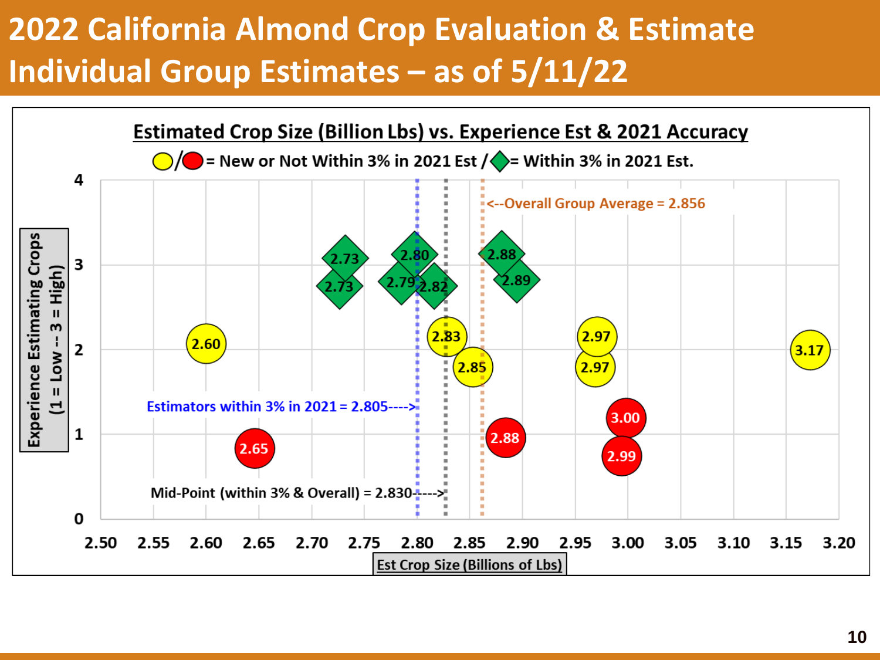### **2022 California Almond Crop Evaluation & Estimate Individual Group Estimates – as of 5/11/22**

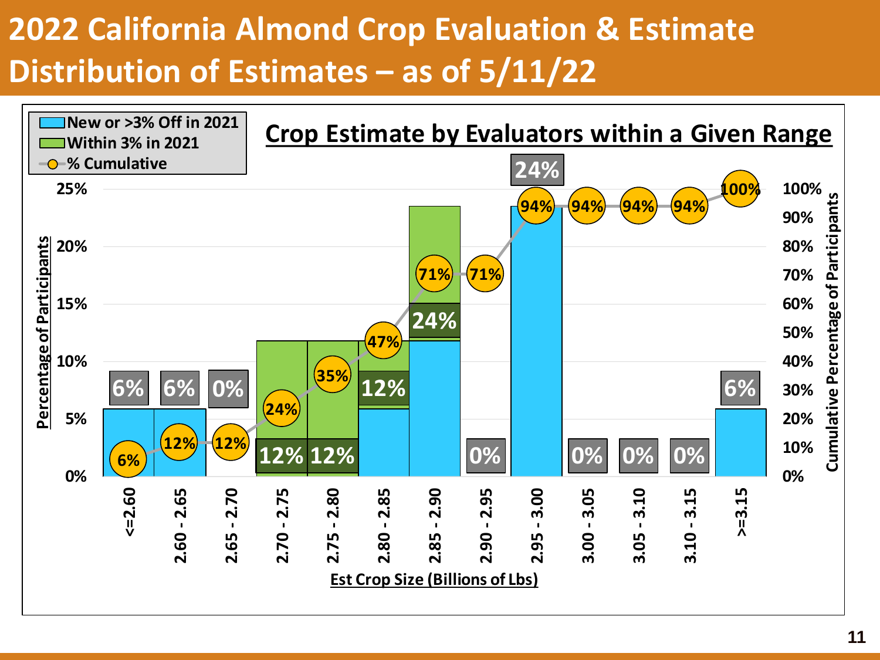### **2022 California Almond Crop Evaluation & Estimate Distribution of Estimates – as of 5/11/22**